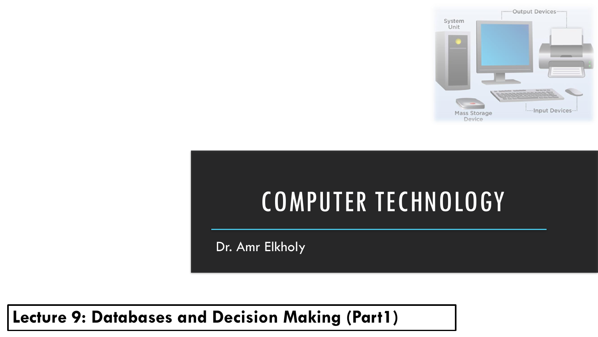

# COMPUTER TECHNOLOGY

Dr. Amr Elkholy

**Lecture 9: Databases and Decision Making (Part1)**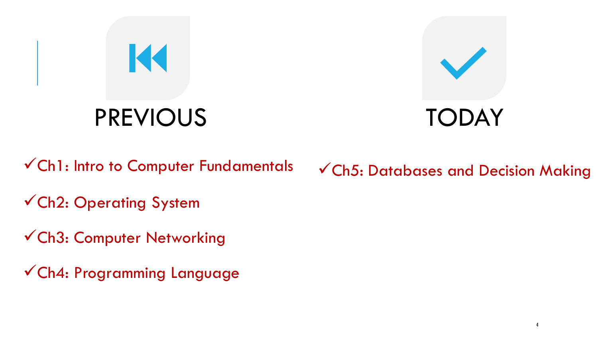

√Ch1: Intro to Computer Fundamentals √Ch5: Databases and Decision Making

✓Ch2: Operating System

✓Ch3: Computer Networking

✓Ch4: Programming Language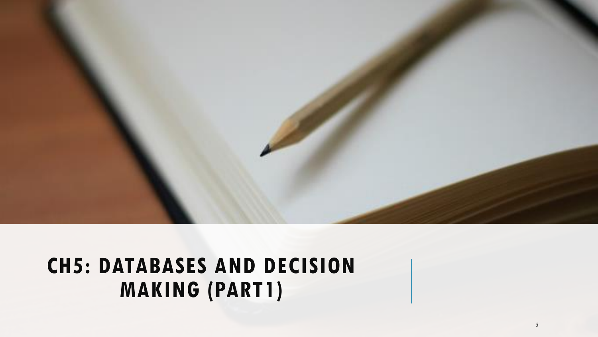

#### **CH5: DATABASES AND DECISION MAKING (PART1)**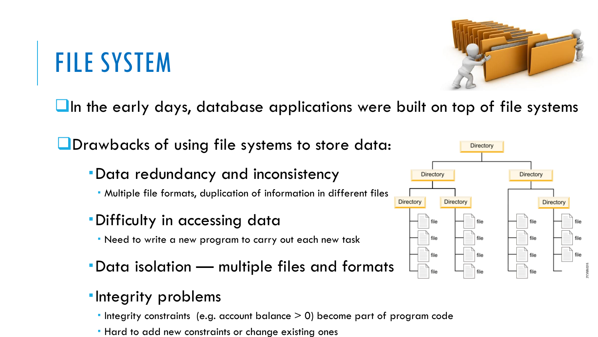# FILE SYSTEM

❑In the early days, database applications were built on top of file systems

❑Drawbacks of using file systems to store data:

- Data redundancy and inconsistency
	- Multiple file formats, duplication of information in different files
- Difficulty in accessing data
	- Need to write a new program to carry out each new task
- Data isolation multiple files and formats

#### **-Integrity problems**

- $\blacksquare$  Integrity constraints (e.g. account balance  $>$  0) become part of program code
- **Hard to add new constraints or change existing ones**



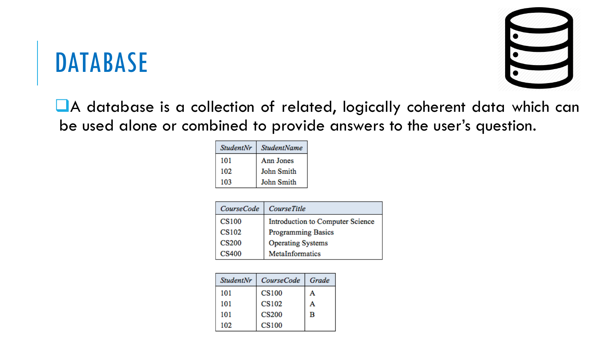### DATABASE



■A database is a collection of related, logically coherent data which can be used alone or combined to provide answers to the user's question.

| <b>StudentNr</b> | <b>StudentName</b> |
|------------------|--------------------|
| 101              | Ann Jones          |
| 102              | John Smith         |
| 103              | John Smith         |

| <b>CourseCode</b> | <b>CourseTitle</b>               |
|-------------------|----------------------------------|
| <b>CS100</b>      | Introduction to Computer Science |
| <b>CS102</b>      | <b>Programming Basics</b>        |
| <b>CS200</b>      | <b>Operating Systems</b>         |
| <b>CS400</b>      | MetaInformatics                  |

| <b>StudentNr</b> | <b>CourseCode</b> | Grade |
|------------------|-------------------|-------|
| 101              | <b>CS100</b>      | А     |
| 101              | <b>CS102</b>      | А     |
| 101              | <b>CS200</b>      | в     |
| 102              | <b>CS100</b>      |       |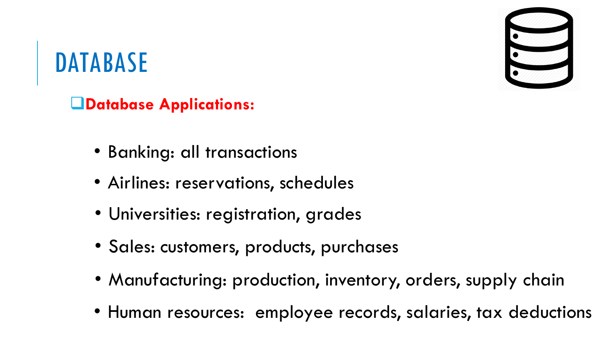

### DATABASE

❑**Database Applications:**

- Banking: all transactions
- Airlines: reservations, schedules
- Universities: registration, grades
- Sales: customers, products, purchases
- Manufacturing: production, inventory, orders, supply chain
- Human resources: employee records, salaries, tax deductions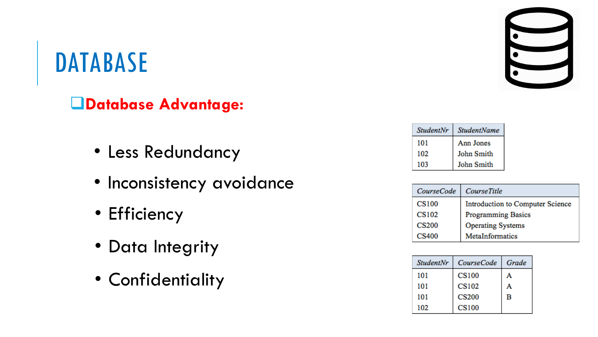#### DATABASE

❑**Database Advantage:**

- Less Redundancy
- Inconsistency avoidance
- Efficiency
- Data Integrity
- Confidentiality



| <b>StudentNr</b> | <b>StudentName</b> |
|------------------|--------------------|
| 101              | Ann Jones          |
| 102              | John Smith         |
| 103              | John Smith         |

| <i>CourseCode</i> | <b>CourseTitle</b>               |
|-------------------|----------------------------------|
| <b>CS100</b>      | Introduction to Computer Science |
| <b>CS102</b>      | <b>Programming Basics</b>        |
| <b>CS200</b>      | <b>Operating Systems</b>         |
| <b>CS400</b>      | MetaInformatics                  |

| <b>StudentNr</b> | <i>CourseCode</i> | Grade |
|------------------|-------------------|-------|
| 101              | <b>CS100</b>      | А     |
| 101              | <b>CS102</b>      | А     |
| 101              | <b>CS200</b>      | в     |
| 102              | <b>CS100</b>      |       |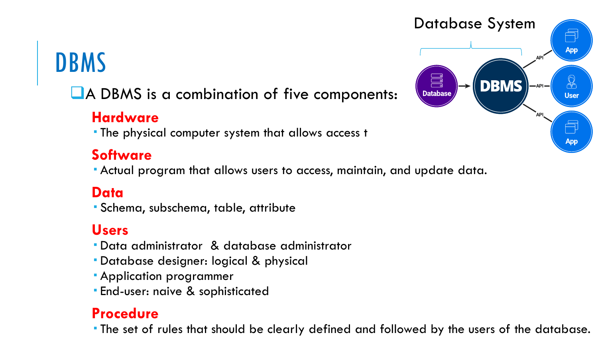#### DBMS

#### ■A DBMS is a combination of five components:

#### **Hardware**

The physical computer system that allows access t

#### **Software**

Actual program that allows users to access, maintain, and update data.

#### **Data**

Schema, subschema, table, attribute

#### **Users**

- Data administrator & database administrator
- Database designer: logical & physical
- Application programmer
- End-user: naive & sophisticated

#### **Procedure**

The set of rules that should be clearly defined and followed by the users of the database.

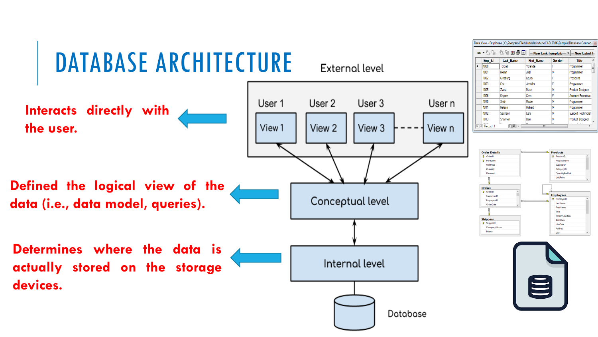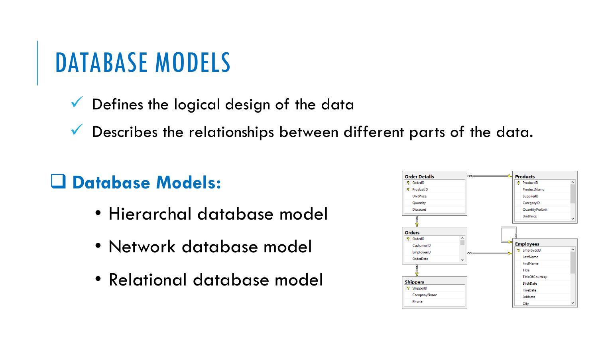- $\checkmark$  Defines the logical design of the data
- $\checkmark$  Describes the relationships between different parts of the data.

#### ❑ **Database Models:**

- Hierarchal database model
- Network database model
- Relational database model

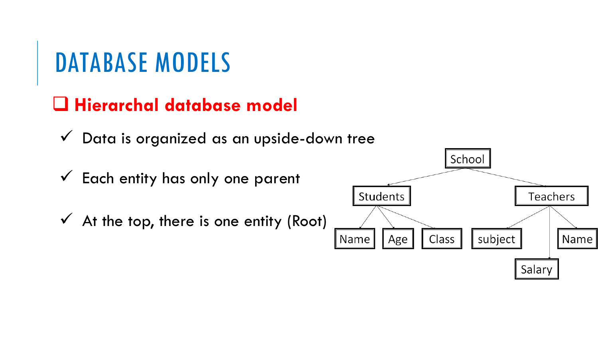#### ❑ **Hierarchal database model**

 $\checkmark$  Data is organized as an upside-down tree

 $\checkmark$  Each entity has only one parent

 $\checkmark$  At the top, there is one entity (Root)

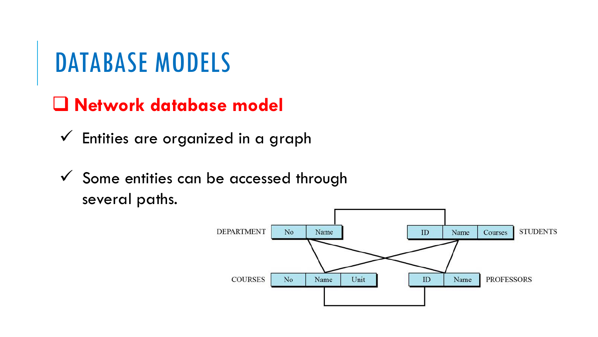#### ❑ **Network database model**

- $\checkmark$  Entities are organized in a graph
- $\checkmark$  Some entities can be accessed through several paths.

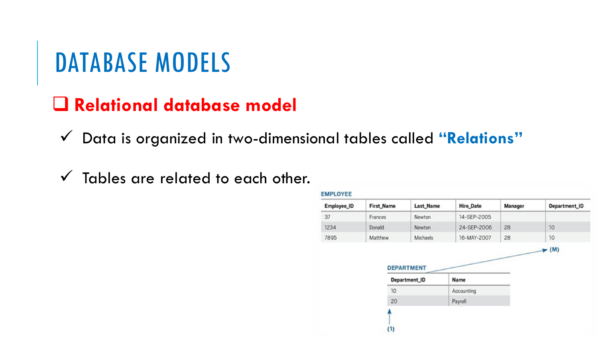#### ❑ **Relational database model**

✓ Data is organized in two-dimensional tables called **"Relations"**

 $\checkmark$  Tables are related to each other.

| <b>EMPLOYEE</b> |            |               |                  |         |               |
|-----------------|------------|---------------|------------------|---------|---------------|
| Employee_ID     | First_Name | Last_Name     | <b>Hire_Date</b> | Manager | Department_ID |
| 37              | Frances    | Newton        | 14-SEP-2005      |         |               |
| 1234            | Donald     | Newton        | 24-SEP-2006      | 28      | 10            |
| 7895            | Matthew    | Michaels      | 16-MAY-2007      | 28      | 10            |
|                 |            | Department_ID | Name             |         |               |
|                 | 10         |               | Accounting       |         |               |
|                 | 20         |               | Payroll          |         |               |
|                 |            |               |                  |         |               |
|                 |            |               |                  |         |               |
|                 | (1)        |               |                  |         |               |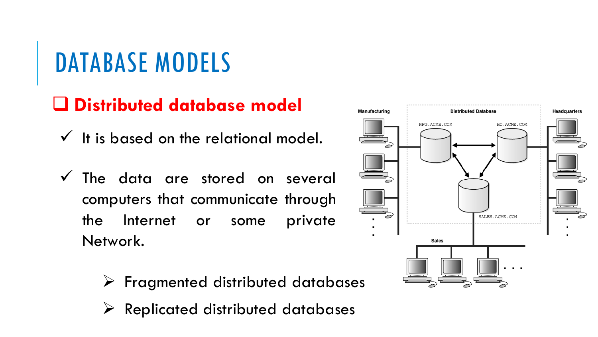#### ❑ **Distributed database model**

 $\checkmark$  It is based on the relational model.

- $\checkmark$  The data are stored on several computers that communicate through the Internet or some private Network.
	- ➢ Fragmented distributed databases
	- $\triangleright$  Replicated distributed databases

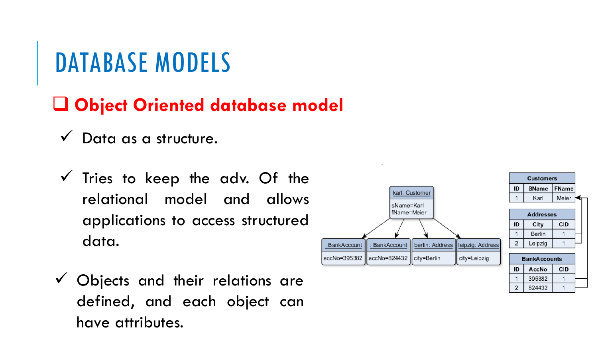#### ❑ **Object Oriented database model**

- $\checkmark$  Data as a structure.
- $\checkmark$  Tries to keep the adv. Of the relational model and allows applications to access structured data.
- $\checkmark$  Objects and their relations are defined, and each object can have attributes.



395382

824432

 $\overline{1}$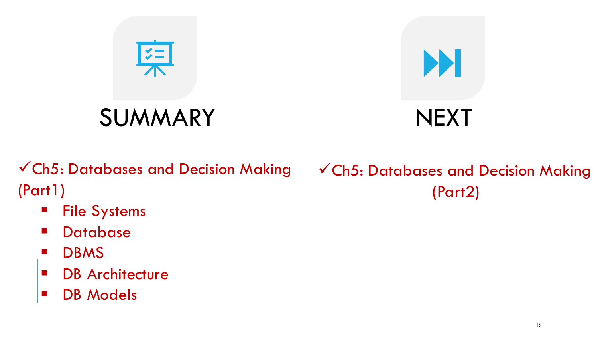

✓Ch5: Databases and Decision Making (Part1)

- File Systems
- Database
- DBMS
- DB Architecture
- DB Models

#### ✓Ch5: Databases and Decision Making (Part2)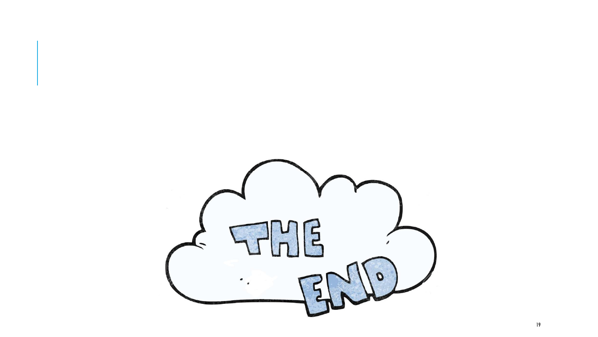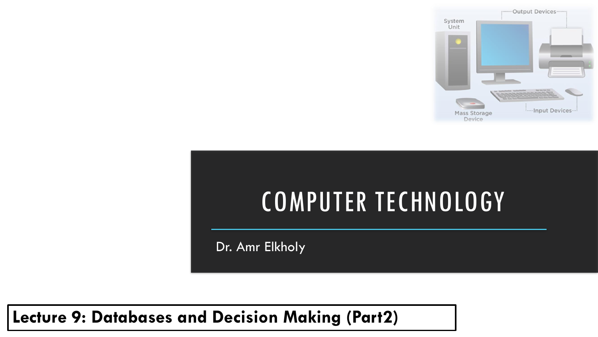

# COMPUTER TECHNOLOGY

Dr. Amr Elkholy

**Lecture 9: Databases and Decision Making (Part2)**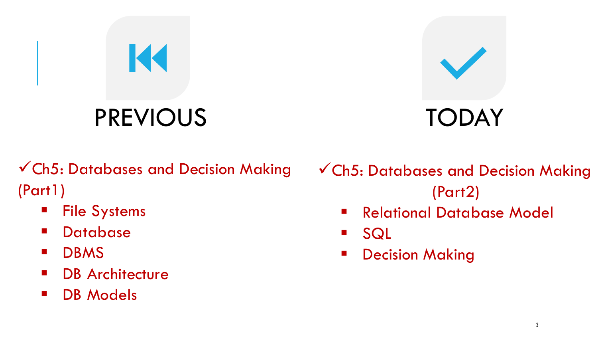# PREVIOUS TODAY

K



✓Ch5: Databases and Decision Making (Part1)

- File Systems
- Database
- DBMS
- **DB Architecture**
- DB Models

✓Ch5: Databases and Decision Making (Part2)

- Relational Database Model
- SQL
- **■** Decision Making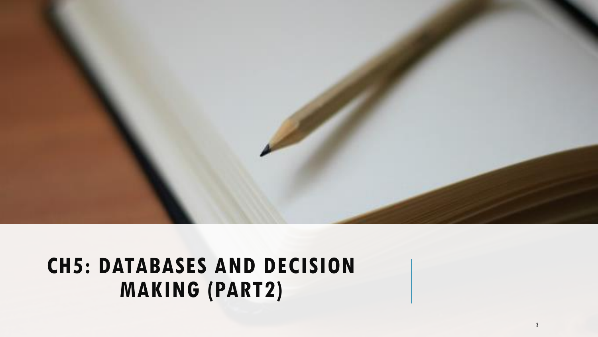

#### **CH5: DATABASES AND DECISION MAKING (PART2)**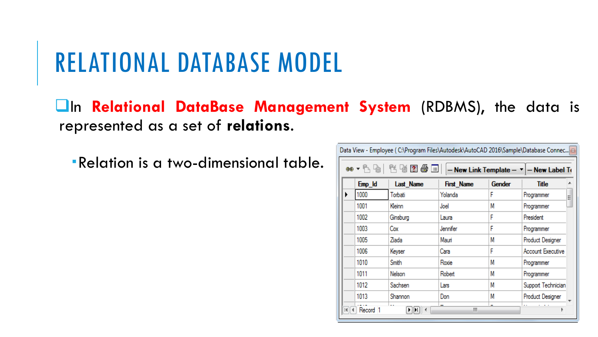### RELATIONAL DATABASE MODEL

❑In **Relational DataBase Management System** (RDBMS), the data is represented as a set of **relations**.

Relation is a two-dimensional table.

|   | ළෙබ -  | 长点用骨目     |                   |        | $-$ New Link Template $ \mathbf{v}$ $ -$ New Label To |
|---|--------|-----------|-------------------|--------|-------------------------------------------------------|
|   | Emp_Id | Last Name | <b>First Name</b> | Gender | Title                                                 |
| ▶ | 1000   | Torbati   | Yolanda           | F      | Programmer<br>Ë                                       |
|   | 1001   | Kleinn    | Joel              | Μ      | Programmer                                            |
|   | 1002   | Ginsburg  | Laura             | F      | President                                             |
|   | 1003   | Cox       | Jennifer          | F      | Programmer                                            |
|   | 1005   | Ziada     | Mauri             | М      | Product Designer                                      |
|   | 1006   | Keyser    | Cara              | F      | Account Executive                                     |
|   | 1010   | Smith     | Roxie             | М      | Programmer                                            |
|   | 1011   | Nelson    | Robert            | Μ      | Programmer                                            |
|   | 1012   | Sachsen   | Lars              | Μ      | Support Technician                                    |
|   | 1013   | Shannon   | Don               | М      | Product Designer                                      |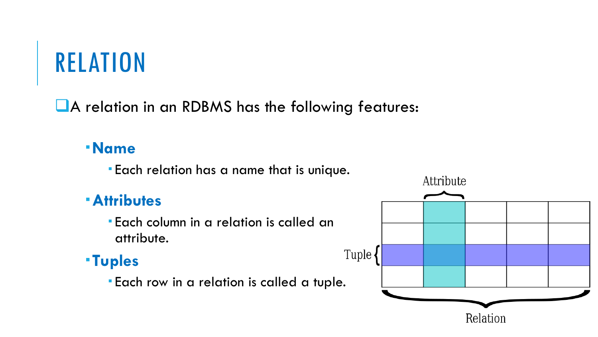# RELATION

❑A relation in an RDBMS has the following features:

#### **Name**

Each relation has a name that is unique.

#### **Attributes**

 Each column in a relation is called an attribute.

#### **Tuples**

Each row in a relation is called a tuple.

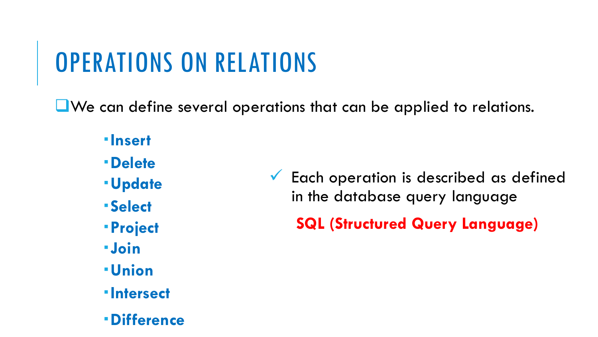# OPERATIONS ON RELATIONS

❑We can define several operations that can be applied to relations.

- **Insert**
- **Delete**
- **Update**
- **Select**
- **Project**
- **Join**
- **Union**
- **Intersect**
- **Difference**
- ✓ Each operation is described as defined in the database query language
	- **SQL (Structured Query Language)**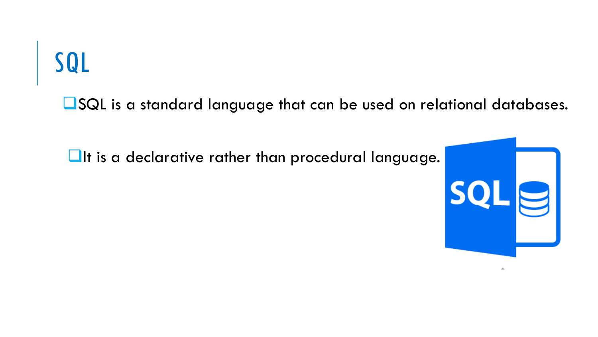■SQL is a standard language that can be used on relational databases.

■It is a declarative rather than procedural language.

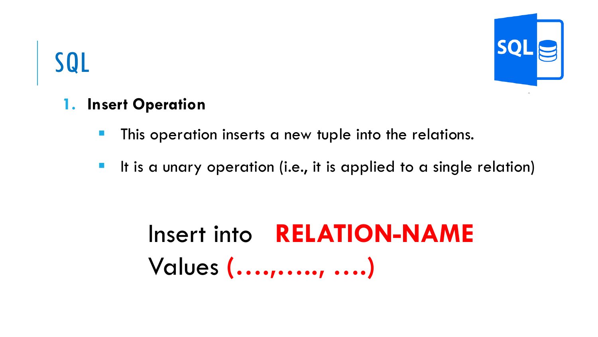

#### **1. Insert Operation**

- **This operation inserts a new tuple into the relations.**
- **E** It is a unary operation (i.e., it is applied to a single relation)

# Insert into **RELATION-NAME**  Values **(….,….., ….)**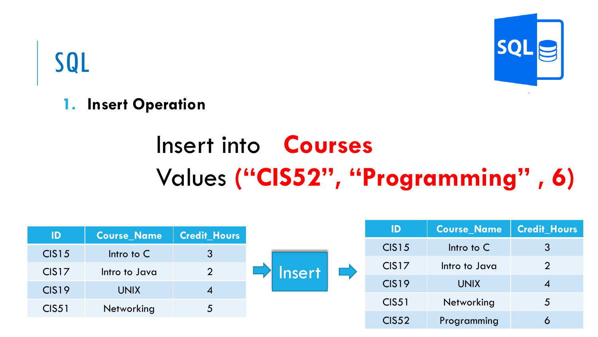

**1. Insert Operation**

# Insert into **Courses**  Values **("CIS52" , "Programming" , 6)**

| ID                | <b>Course Name</b> | <b>Credit Hours</b> |               | ID                | <b>Course_Name</b> | <b>Credit Hours</b> |
|-------------------|--------------------|---------------------|---------------|-------------------|--------------------|---------------------|
| <b>CIS15</b>      | Intro to $C$       | $\mathbf{3}$        |               | <b>CIS15</b>      | Intro to $C$       | $\lceil 3 \rceil$   |
|                   |                    |                     |               | CIS <sub>17</sub> | Intro to Java      | $\overline{2}$      |
| CIS <sub>17</sub> | Intro to Java      | $\overline{2}$      | <b>Insert</b> | CIS <sub>19</sub> | <b>UNIX</b>        |                     |
| CIS <sub>19</sub> | <b>UNIX</b>        | $\boldsymbol{4}$    |               |                   |                    | $\boldsymbol{4}$    |
| <b>CIS51</b>      | Networking         | $\overline{5}$      |               | <b>CIS51</b>      | Networking         | $\overline{5}$      |
|                   |                    |                     |               | <b>CIS52</b>      | Programming        | 6                   |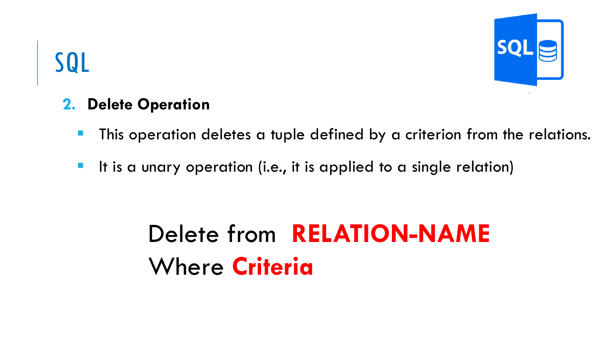#### **2. Delete Operation**

- **This operation deletes a tuple defined by a criterion from the relations.**
- **E** It is a unary operation (i.e., it is applied to a single relation)

# Delete from **RELATION-NAME**  Where **Criteria**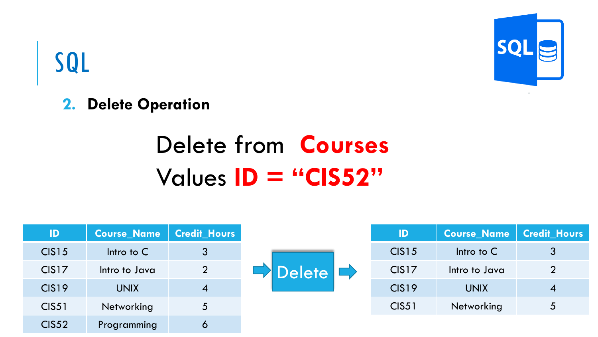# **SQI**

# SQL

**2. Delete Operation**

# Delete from **Courses**  Values **ID = "CIS52"**

| ID                | <b>Course Name</b> | <b>Credit Hours</b> |                     | ID                | <b>Course Name</b> | <b>Credit Hours</b> |
|-------------------|--------------------|---------------------|---------------------|-------------------|--------------------|---------------------|
| <b>CIS15</b>      | Intro to $C$       | $3\overline{)}$     |                     | <b>CIS15</b>      | Intro to $C$       | $\mathbf{3}$        |
| CIS <sub>17</sub> | Intro to Java      | $\overline{2}$      | Delete <sup>L</sup> | CIS <sub>17</sub> | Intro to Java      | $\overline{2}$      |
| <b>CIS19</b>      | <b>UNIX</b>        | 4                   |                     | CIS <sub>19</sub> | <b>UNIX</b>        | 4                   |
| <b>CIS51</b>      | <b>Networking</b>  | 5                   |                     | <b>CIS51</b>      | Networking         | 5                   |
| <b>CIS52</b>      | Programming        | $\mathbf 6$         |                     |                   |                    |                     |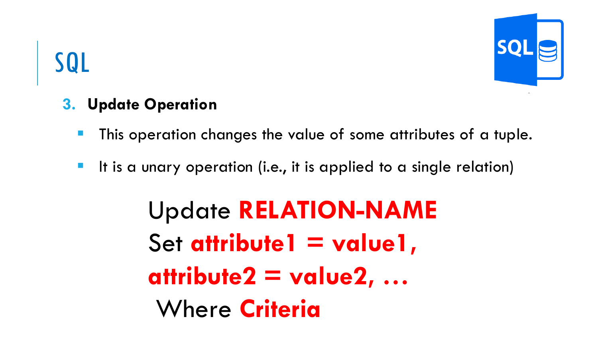#### **3. Update Operation**

- This operation changes the value of some attributes of a tuple.
- **E** It is a unary operation (i.e., it is applied to a single relation)

Update **RELATION-NAME**  Set **attribute1** = value1, **attribute2 = value2, …** Where **Criteria**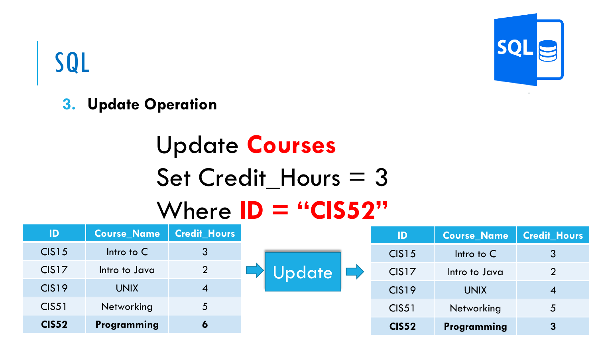

**3. Update Operation**

# Update **Courses**  Set Credit\_Hours = 3 Where **ID = "CIS52"**

| ID                | <b>Course Name</b> | <b>Credit Hours</b> |               | ID                | <b>Course Name</b> | <b>Credit Hours</b> |
|-------------------|--------------------|---------------------|---------------|-------------------|--------------------|---------------------|
| <b>CIS15</b>      | Intro to $C$       | 3                   |               | <b>CIS15</b>      | Intro to $C$       | 3                   |
| CIS <sub>17</sub> | Intro to Java      | $\overline{2}$      | <b>Jpdate</b> | CIS <sub>17</sub> | Intro to Java      | $\overline{2}$      |
| <b>CIS19</b>      | <b>UNIX</b>        | $\overline{A}$      |               | CIS <sub>19</sub> | <b>UNIX</b>        | $\boldsymbol{A}$    |
| <b>CIS51</b>      | <b>Networking</b>  | 5                   |               | <b>CIS51</b>      | Networking         | 5                   |
| <b>CIS52</b>      | Programming        | 6                   |               | <b>CIS52</b>      | Programming        | 3                   |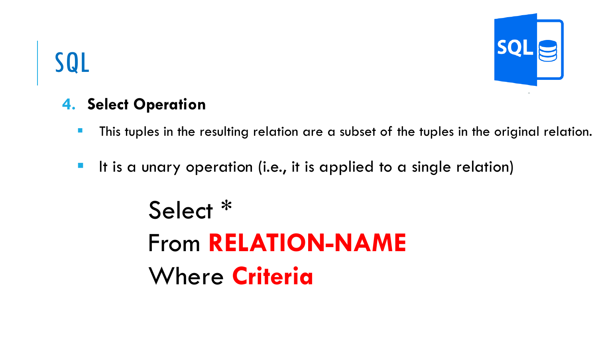#### **4. Select Operation**

- **E** This tuples in the resulting relation are a subset of the tuples in the original relation.
- **E** It is a unary operation (i.e., it is applied to a single relation)

Select \* From **RELATION-NAME**  Where **Criteria**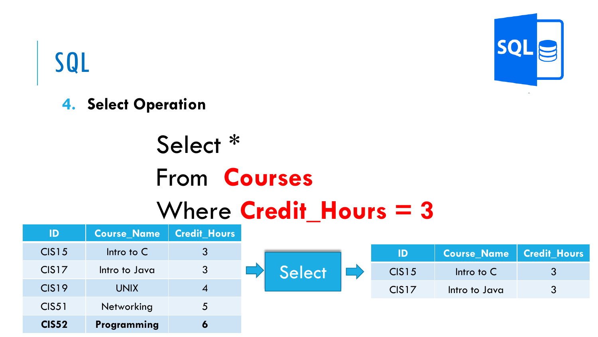

#### **4. Select Operation**

# Select \* From **Courses**  Where **Credit\_Hours = 3**

| $\mathsf{ID}$ | <b>Course Name</b> | <b>Credit Hours</b> |
|---------------|--------------------|---------------------|
| <b>CIS15</b>  | Intro to $C$       | $\mathfrak{Z}$      |
| CIS17         | Intro to Java      | 3                   |
| <b>CIS19</b>  | <b>UNIX</b>        | $\boldsymbol{4}$    |
| <b>CIS51</b>  | Networking         | $\overline{5}$      |
| <b>CIS52</b>  | Programming        | $\bullet$           |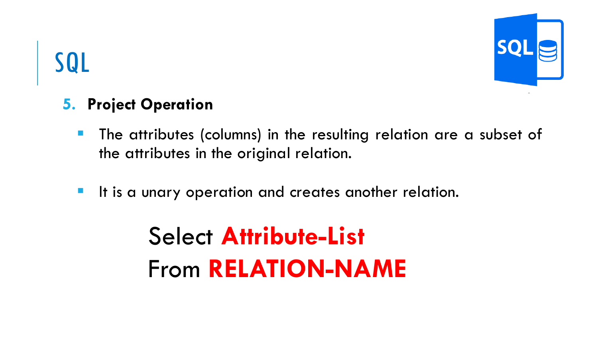

#### **5. Project Operation**

- **The attributes (columns) in the resulting relation are a subset of** the attributes in the original relation.
- **The It is a unary operation and creates another relation.**

# Select **Attribute-List** From **RELATION-NAME**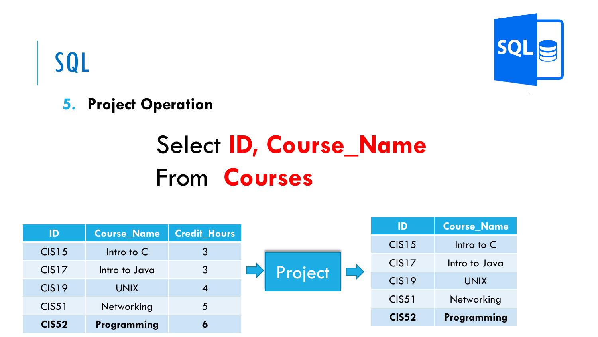

**5. Project Operation**

# Select **ID, Course\_Name** From **Courses**

| ID                | <b>Course_Name</b> | <b>Credit_Hours</b> |         | ID                | <b>Course Name</b> |
|-------------------|--------------------|---------------------|---------|-------------------|--------------------|
| <b>CIS15</b>      | Intro to $C$       | $\mathbf{3}$        |         | <b>CIS15</b>      | Intro to $C$       |
|                   |                    |                     |         | CIS <sub>17</sub> | Intro to Java      |
| CIS <sub>17</sub> | Intro to Java      | 3                   | Project | CIS <sub>19</sub> | <b>UNIX</b>        |
| <b>CIS19</b>      | <b>UNIX</b>        | $\overline{4}$      |         |                   |                    |
| <b>CIS51</b>      | Networking         | 5 <sup>5</sup>      |         | <b>CIS51</b>      | Networking         |
| <b>CIS52</b>      | Programming        | 6                   |         | <b>CIS52</b>      | Programming        |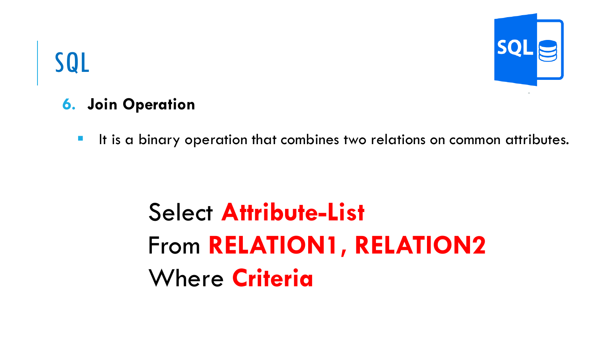

#### **6. Join Operation**

■ It is a binary operation that combines two relations on common attributes.

# Select **Attribute-List** From **RELATION1, RELATION2**  Where **Criteria**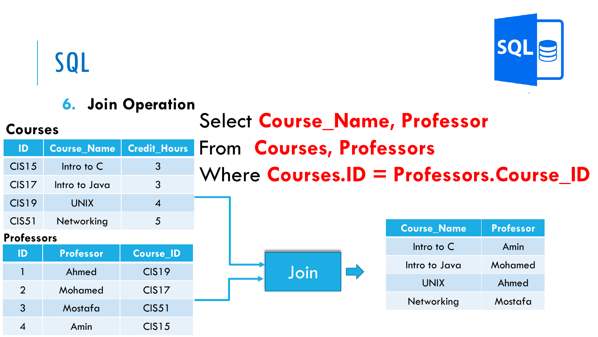

#### Select **Course\_Name, Professor** From **Courses, Professors** Where **Courses.ID = Professors.Course\_ID ID Course\_Name Credit\_Hours** CIS15 Intro to C 3 CIS17 Intro to Java 3 CIS19 UNIX 4 CIS51 Networking 5 Join **6. Join Operation Course\_Name Professor** Intro to C Amin Intro to Java Mohamed UNIX Ahmed Networking Mostafa **ID Professor Course\_ID** 1 Ahmed CIS19 2 Mohamed CIS17 3 Mostafa CIS51 4 Amin CIS15 **Courses Professors**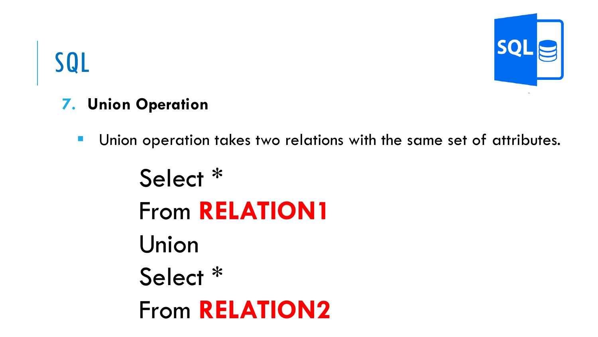

#### **7. Union Operation**

- Union operation takes two relations with the same set of attributes.
	- Select \* From **RELATION1** Union Select \* From **RELATION2**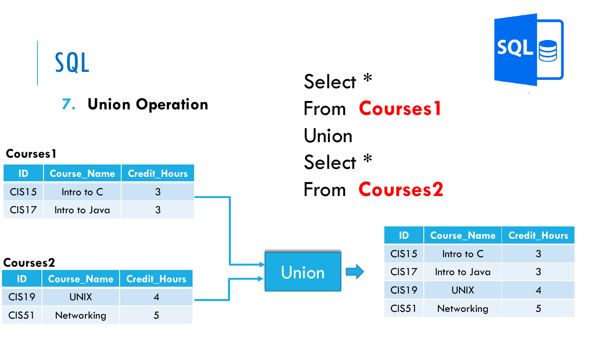#### **7. Union Operation**

#### **Courses1**

| <b>Courses2</b>   |                            |  |  |  |  |  |
|-------------------|----------------------------|--|--|--|--|--|
| ID.               | Course_Name   Credit_Hours |  |  |  |  |  |
| CIS <sub>19</sub> | <b>UNIX</b>                |  |  |  |  |  |
| <b>CIS51</b>      | Networking                 |  |  |  |  |  |

Select \* From **Courses1** Union Select \* From **Courses2**

Union

 $\Box$ 

| ID                | <b>Course_Name   Credit_Hours</b> |                          |
|-------------------|-----------------------------------|--------------------------|
| CIS15             | Intro to $C$                      | 3                        |
| CIS <sub>17</sub> | Intro to Java                     | 3                        |
| <b>CIS19</b>      | <b>UNIX</b>                       |                          |
| CIS <sub>51</sub> | Networking                        | $\overline{\phantom{a}}$ |

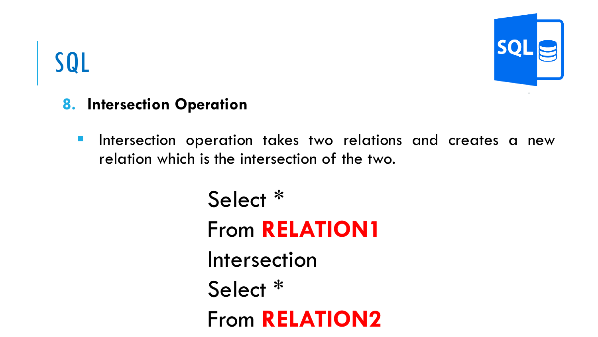#### **8. Intersection Operation**

**E** Intersection operation takes two relations and creates a new relation which is the intersection of the two.

> Select \* From **RELATION1** Intersection Select \* From **RELATION2**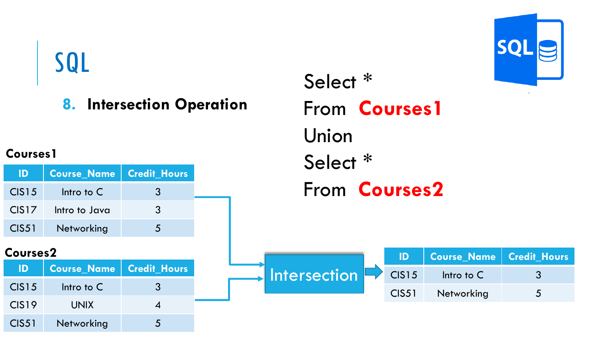**8. Intersection Operation**

#### **Courses1**

|       | ID   Course_Name   Credit_Hours |               |
|-------|---------------------------------|---------------|
| CIS15 | Intro to C                      | $\mathcal{B}$ |
| CIS17 | Intro to Java                   | 3             |
| CIS51 | Networking                      | $\Delta$      |

| ID'               | <b>Course_Name   Credit_Hours</b> |             |
|-------------------|-----------------------------------|-------------|
| CIS <sub>15</sub> | Intro to $C$                      | 3           |
| CIS <sub>19</sub> | <b>UNIX</b>                       |             |
| <b>CIS51</b>      | Networking                        | $\bigwedge$ |

Select \* From **Courses1** Union Select \* From **Courses2**



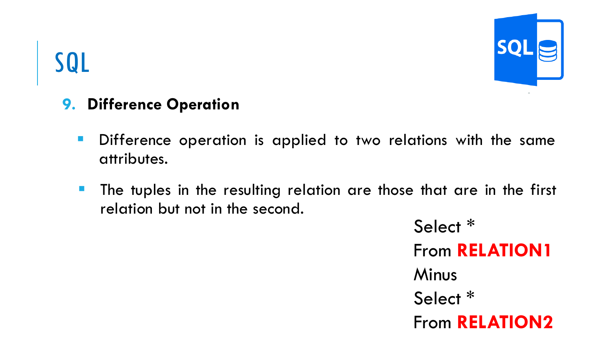

#### **9. Difference Operation**

- Difference operation is applied to two relations with the same attributes.
- The tuples in the resulting relation are those that are in the first relation but not in the second.

Select \* From **RELATION1** Minus Select \* From **RELATION2**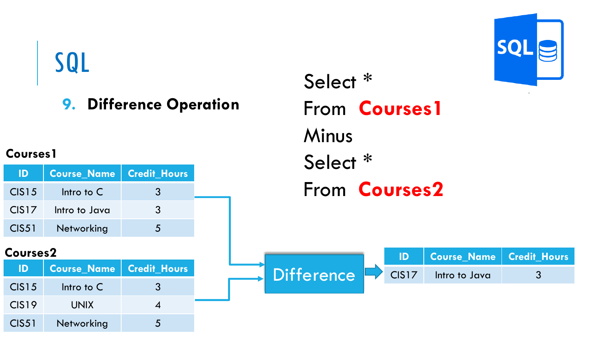#### **9. Difference Operation**

#### **Courses1**

| ID -  | Course_Name   Credit_Hours |          |
|-------|----------------------------|----------|
| CIS15 | Intro to $C$               | <b>3</b> |
| CIS17 | Intro to Java              | 3        |
| CIS51 | Networking                 | $\sim$   |

| ID.               | Course_Name   Credit_Hours |   |
|-------------------|----------------------------|---|
| CIS <sub>15</sub> | Intro to $C$               | 3 |
| CIS <sub>19</sub> | <b>UNIX</b>                |   |
| <b>CIS51</b>      | Networking                 |   |

Select \* From **Courses1** Minus Select \* From **Courses2**



| Courses2     |                            |  |                                |  | Course Name   Credit Hours <sub> </sub> |  |
|--------------|----------------------------|--|--------------------------------|--|-----------------------------------------|--|
| ID           | Course Name   Credit Hours |  | $\Box$ Difference $\Box$ CIS17 |  | Intro to Java                           |  |
| $C$ $C$ $15$ | $Intra + c$                |  |                                |  |                                         |  |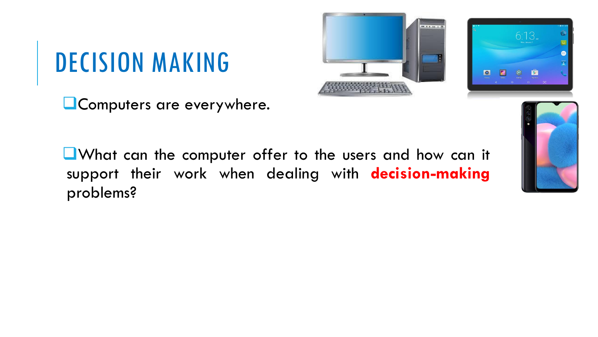■Computers are everywhere.





■What can the computer offer to the users and how can it support their work when dealing with **decision-making** problems?

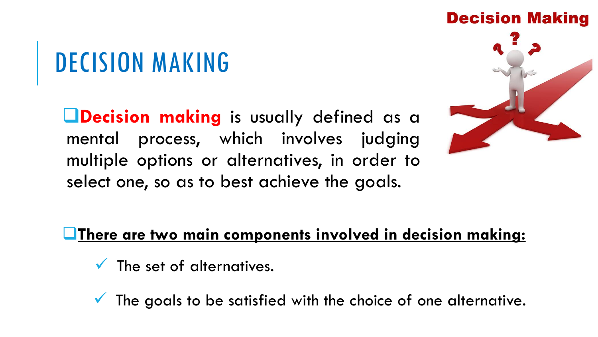❑**Decision making** is usually defined as a mental process, which involves judging multiple options or alternatives, in order to select one, so as to best achieve the goals.



#### ❑**There are two main components involved in decision making:**

- $\checkmark$  The set of alternatives.
- The goals to be satisfied with the choice of one alternative.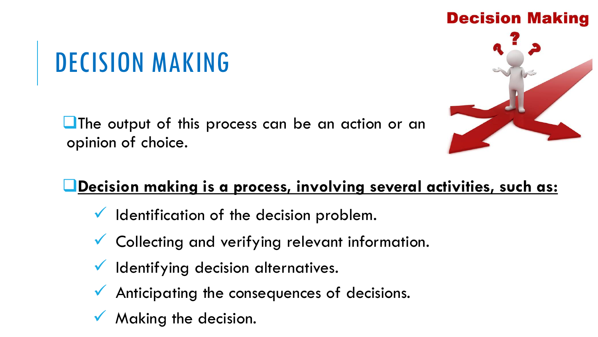■The output of this process can be an action or an opinion of choice.





#### ❑**Decision making is a process, involving several activities, such as:**

- $\checkmark$  Identification of the decision problem.
- Collecting and verifying relevant information.
- Identifying decision alternatives.
- Anticipating the consequences of decisions.
- Making the decision.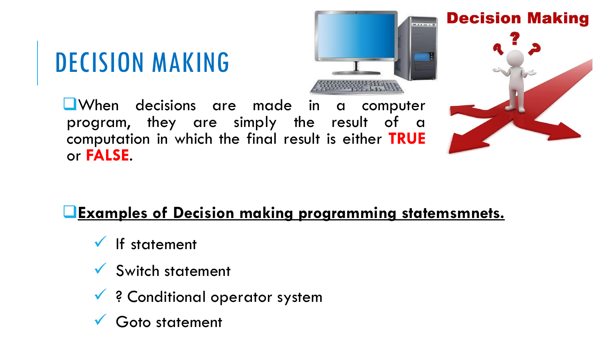

❑When decisions are made in a computer program, they are simply the result of a computation in which the final result is either **TRUE** or **FALSE**.



**Decision Making** 

#### ❑**Examples of Decision making programming statemsmnets.**

- $\checkmark$  If statement
- Switch statement
- ✓ ? Conditional operator system
- Goto statement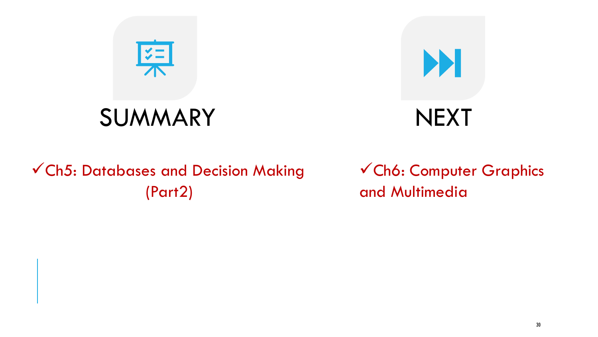



#### ✓Ch5: Databases and Decision Making (Part2)

✓Ch6: Computer Graphics and Multimedia